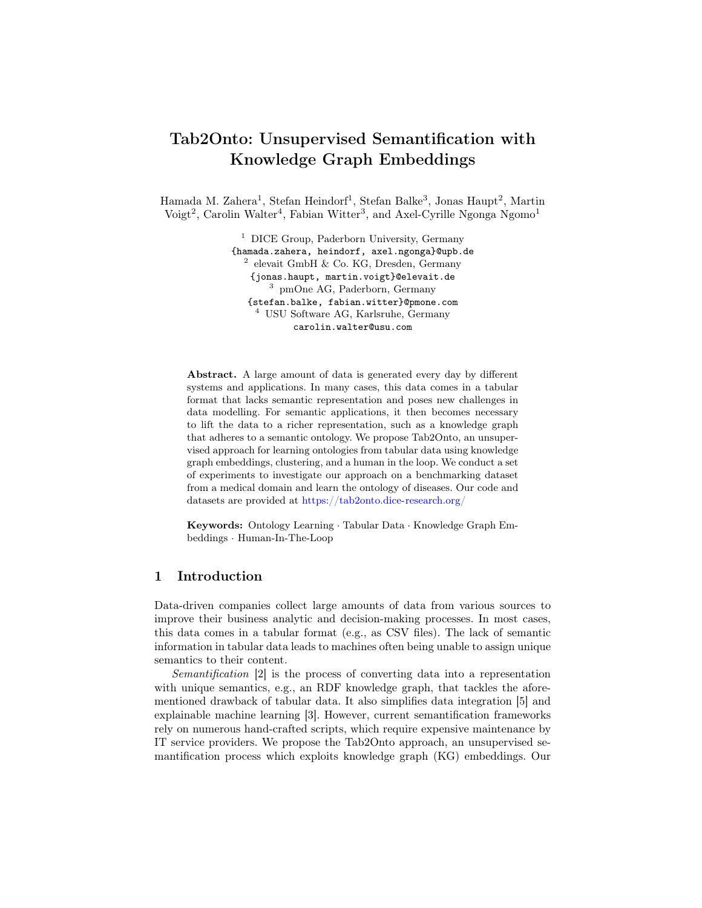# Tab2Onto: Unsupervised Semantification with Knowledge Graph Embeddings

Hamada M. Zahera<sup>1</sup>, Stefan Heindorf<sup>1</sup>, Stefan Balke<sup>3</sup>, Jonas Haupt<sup>2</sup>, Martin  $\text{Voigt}^2$ , Carolin Walter<sup>4</sup>, Fabian Witter<sup>3</sup>, and Axel-Cyrille Ngonga Ngomo<sup>1</sup>

> $1$  DICE Group, Paderborn University, Germany {hamada.zahera, heindorf, axel.ngonga}@upb.de 2 elevait GmbH & Co. KG, Dresden, Germany {jonas.haupt, martin.voigt}@elevait.de <sup>3</sup> pmOne AG, Paderborn, Germany {stefan.balke, fabian.witter}@pmone.com <sup>4</sup> USU Software AG, Karlsruhe, Germany carolin.walter@usu.com

Abstract. A large amount of data is generated every day by different systems and applications. In many cases, this data comes in a tabular format that lacks semantic representation and poses new challenges in data modelling. For semantic applications, it then becomes necessary to lift the data to a richer representation, such as a knowledge graph that adheres to a semantic ontology. We propose Tab2Onto, an unsupervised approach for learning ontologies from tabular data using knowledge graph embeddings, clustering, and a human in the loop. We conduct a set of experiments to investigate our approach on a benchmarking dataset from a medical domain and learn the ontology of diseases. Our code and datasets are provided at <https://tab2onto.dice-research.org/>

Keywords: Ontology Learning · Tabular Data · Knowledge Graph Embeddings · Human-In-The-Loop

## 1 Introduction

Data-driven companies collect large amounts of data from various sources to improve their business analytic and decision-making processes. In most cases, this data comes in a tabular format (e.g., as CSV files). The lack of semantic information in tabular data leads to machines often being unable to assign unique semantics to their content.

Semantification [\[2\]](#page-4-0) is the process of converting data into a representation with unique semantics, e.g., an RDF knowledge graph, that tackles the aforementioned drawback of tabular data. It also simplifies data integration [\[5\]](#page-4-1) and explainable machine learning [\[3\]](#page-4-2). However, current semantification frameworks rely on numerous hand-crafted scripts, which require expensive maintenance by IT service providers. We propose the Tab2Onto approach, an unsupervised semantification process which exploits knowledge graph (KG) embeddings. Our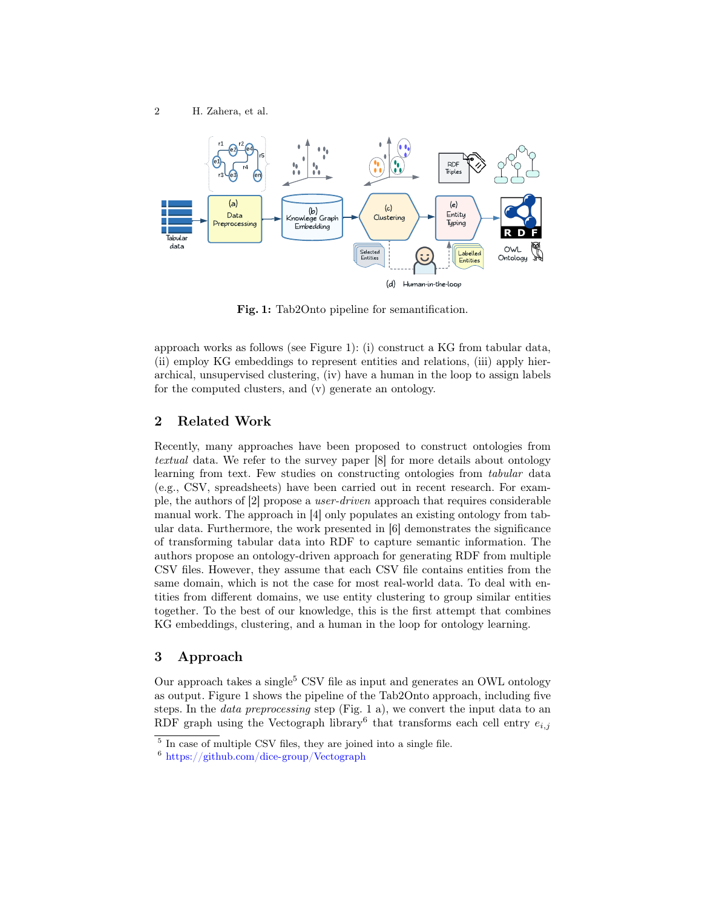<span id="page-1-0"></span>

Fig. 1: Tab2Onto pipeline for semantification.

approach works as follows (see Figure [1\)](#page-1-0): (i) construct a KG from tabular data, (ii) employ KG embeddings to represent entities and relations, (iii) apply hierarchical, unsupervised clustering, (iv) have a human in the loop to assign labels for the computed clusters, and (v) generate an ontology.

# 2 Related Work

Recently, many approaches have been proposed to construct ontologies from textual data. We refer to the survey paper [\[8\]](#page-4-3) for more details about ontology learning from text. Few studies on constructing ontologies from *tabular* data (e.g., CSV, spreadsheets) have been carried out in recent research. For example, the authors of [\[2\]](#page-4-0) propose a user-driven approach that requires considerable manual work. The approach in [\[4\]](#page-4-4) only populates an existing ontology from tabular data. Furthermore, the work presented in [\[6\]](#page-4-5) demonstrates the significance of transforming tabular data into RDF to capture semantic information. The authors propose an ontology-driven approach for generating RDF from multiple CSV files. However, they assume that each CSV file contains entities from the same domain, which is not the case for most real-world data. To deal with entities from different domains, we use entity clustering to group similar entities together. To the best of our knowledge, this is the first attempt that combines KG embeddings, clustering, and a human in the loop for ontology learning.

## 3 Approach

Our approach takes a single<sup>[5](#page-1-1)</sup> CSV file as input and generates an OWL ontology as output. Figure [1](#page-1-0) shows the pipeline of the Tab2Onto approach, including five steps. In the data preprocessing step (Fig. [1](#page-1-0) a), we convert the input data to an RDF graph using the Vectograph library<sup>[6](#page-1-2)</sup> that transforms each cell entry  $e_{i,j}$ 

<span id="page-1-1"></span><sup>&</sup>lt;sup>5</sup> In case of multiple CSV files, they are joined into a single file.

<span id="page-1-2"></span><sup>6</sup> <https://github.com/dice-group/Vectograph>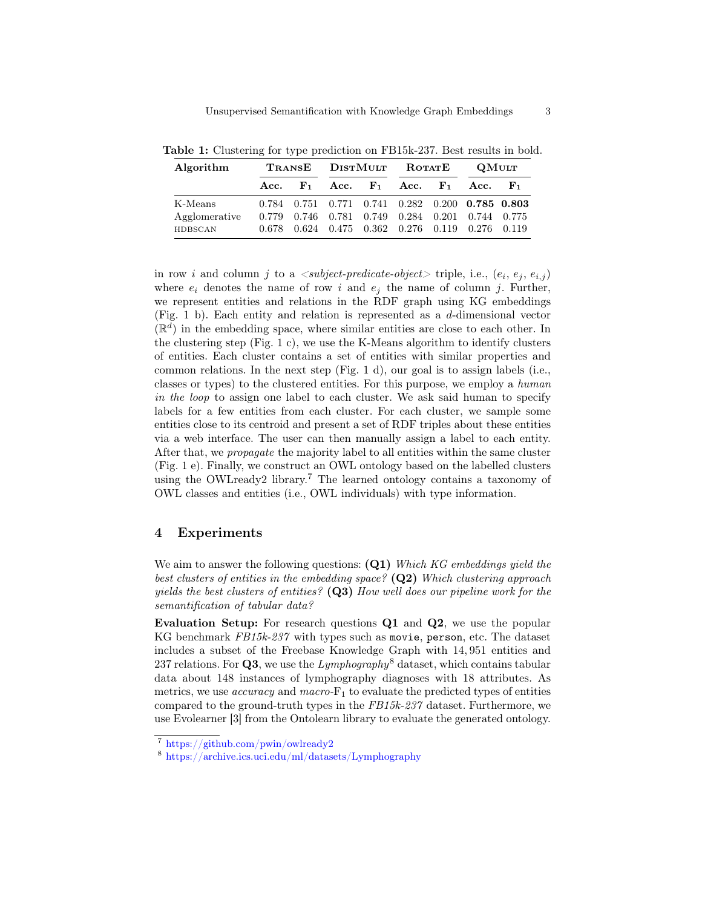| Algorithm     |  |  | TRANSE DISTMULT ROTATE |  |  |  | $\boldsymbol{\mathrm{QM}}$ ult                                  |  |
|---------------|--|--|------------------------|--|--|--|-----------------------------------------------------------------|--|
|               |  |  |                        |  |  |  | Acc. $F_1$ Acc. $F_1$ Acc. $F_1$ Acc. $F_1$                     |  |
| K-Means       |  |  |                        |  |  |  | $0.784$ $0.751$ $0.771$ $0.741$ $0.282$ $0.200$ $0.785$ $0.803$ |  |
| Agglomerative |  |  |                        |  |  |  | 0.779 0.746 0.781 0.749 0.284 0.201 0.744 0.775                 |  |
| HDBSCAN       |  |  |                        |  |  |  | 0.678 0.624 0.475 0.362 0.276 0.119 0.276 0.119                 |  |

<span id="page-2-2"></span>Table 1: Clustering for type prediction on FB15k-237. Best results in bold.

in row *i* and column *j* to a  $\langle \textit{subject-predicate-object} \rangle$  triple, i.e.,  $(e_i, e_j, e_{i,j})$ where  $e_i$  denotes the name of row i and  $e_j$  the name of column j. Further, we represent entities and relations in the RDF graph using KG embeddings (Fig. [1](#page-1-0) b). Each entity and relation is represented as a d-dimensional vector  $(\mathbb{R}^d)$  in the embedding space, where similar entities are close to each other. In the clustering step (Fig. [1](#page-1-0) c), we use the K-Means algorithm to identify clusters of entities. Each cluster contains a set of entities with similar properties and common relations. In the next step (Fig. [1](#page-1-0) d), our goal is to assign labels (i.e., classes or types) to the clustered entities. For this purpose, we employ a human in the loop to assign one label to each cluster. We ask said human to specify labels for a few entities from each cluster. For each cluster, we sample some entities close to its centroid and present a set of RDF triples about these entities via a web interface. The user can then manually assign a label to each entity. After that, we propagate the majority label to all entities within the same cluster (Fig. [1](#page-1-0) e). Finally, we construct an OWL ontology based on the labelled clusters using the OWLready2 library.[7](#page-2-0) The learned ontology contains a taxonomy of OWL classes and entities (i.e., OWL individuals) with type information.

### 4 Experiments

We aim to answer the following questions:  $(Q1)$  Which KG embeddings yield the best clusters of entities in the embedding space?  $(Q2)$  Which clustering approach yields the best clusters of entities?  $(Q3)$  How well does our pipeline work for the semantification of tabular data?

Evaluation Setup: For research questions Q1 and Q2, we use the popular KG benchmark FB15k-237 with types such as movie, person, etc. The dataset includes a subset of the Freebase Knowledge Graph with 14, 951 entities and 237 relations. For **Q3**, we use the  $Lymphography^8$  $Lymphography^8$  dataset, which contains tabular data about 148 instances of lymphography diagnoses with 18 attributes. As metrics, we use *accuracy* and *macro*- $F_1$  to evaluate the predicted types of entities compared to the ground-truth types in the FB15k-237 dataset. Furthermore, we use Evolearner [\[3\]](#page-4-2) from the Ontolearn library to evaluate the generated ontology.

<span id="page-2-0"></span><sup>7</sup> <https://github.com/pwin/owlready2>

<span id="page-2-1"></span><sup>8</sup> <https://archive.ics.uci.edu/ml/datasets/Lymphography>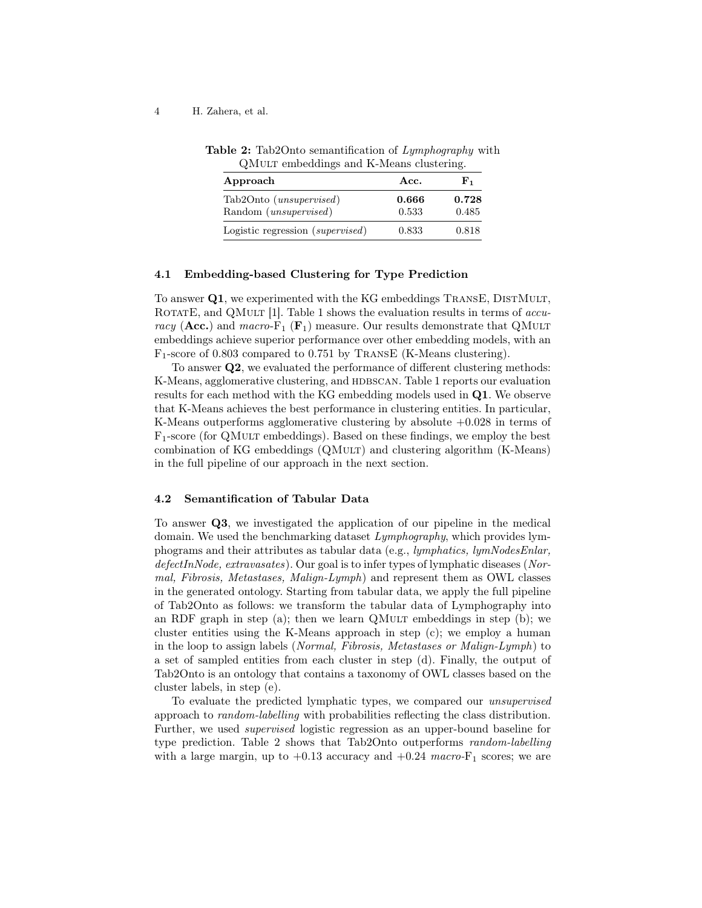#### <span id="page-3-0"></span>4 H. Zahera, et al.

|  | <b>Table 2:</b> Tab2Onto semantification of Lymphography with |  |  |  |
|--|---------------------------------------------------------------|--|--|--|
|  | QMULT embeddings and K-Means clustering.                      |  |  |  |

| Approach                         | Acc.  | F1.   |
|----------------------------------|-------|-------|
| Tab2Onto ( <i>unsupervised</i> ) | 0.666 | 0.728 |
| Random ( <i>unsupervised</i> )   | 0.533 | 0.485 |
| Logistic regression (supervised) | 0.833 | 0.818 |

#### 4.1 Embedding-based Clustering for Type Prediction

To answer Q1, we experimented with the KG embeddings TRANSE, DISTMULT, ROTATE, and QMULT  $[1]$ . Table [1](#page-2-2) shows the evaluation results in terms of *accu*racy (Acc.) and macro- $F_1$  ( $F_1$ ) measure. Our results demonstrate that QMuLT embeddings achieve superior performance over other embedding models, with an F1-score of 0.803 compared to 0.751 by TransE (K-Means clustering).

To answer Q2, we evaluated the performance of different clustering methods: K-Means, agglomerative clustering, and HDBSCAN. Table [1](#page-2-2) reports our evaluation results for each method with the KG embedding models used in Q1. We observe that K-Means achieves the best performance in clustering entities. In particular, K-Means outperforms agglomerative clustering by absolute  $+0.028$  in terms of  $F_1$ -score (for QMULT embeddings). Based on these findings, we employ the best combination of KG embeddings (QMult) and clustering algorithm (K-Means) in the full pipeline of our approach in the next section.

#### 4.2 Semantification of Tabular Data

To answer Q3, we investigated the application of our pipeline in the medical domain. We used the benchmarking dataset Lymphography, which provides lymphograms and their attributes as tabular data (e.g., lymphatics, lymNodesEnlar, defectInNode, extravasates). Our goal is to infer types of lymphatic diseases (Normal, Fibrosis, Metastases, Malign-Lymph) and represent them as OWL classes in the generated ontology. Starting from tabular data, we apply the full pipeline of Tab2Onto as follows: we transform the tabular data of Lymphography into an RDF graph in step (a); then we learn QMULT embeddings in step (b); we cluster entities using the K-Means approach in step (c); we employ a human in the loop to assign labels (Normal, Fibrosis, Metastases or Malign-Lymph) to a set of sampled entities from each cluster in step (d). Finally, the output of Tab2Onto is an ontology that contains a taxonomy of OWL classes based on the cluster labels, in step (e).

To evaluate the predicted lymphatic types, we compared our unsupervised approach to random-labelling with probabilities reflecting the class distribution. Further, we used supervised logistic regression as an upper-bound baseline for type prediction. Table [2](#page-3-0) shows that Tab2Onto outperforms random-labelling with a large margin, up to  $+0.13$  accuracy and  $+0.24$  macro- $F_1$  scores; we are